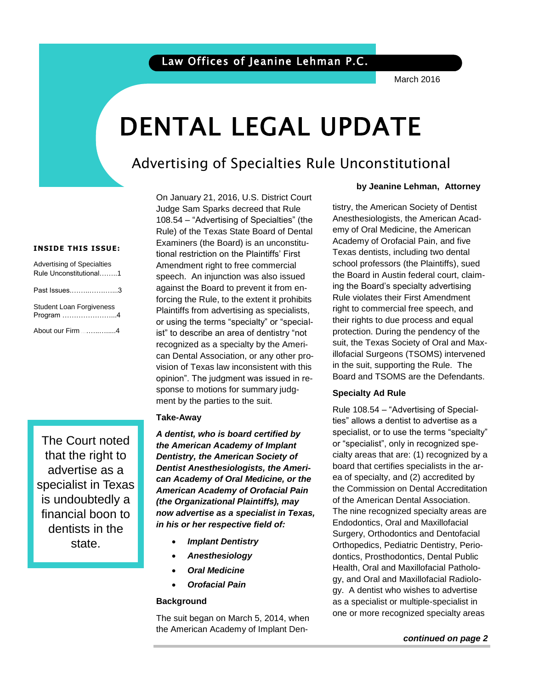March 2016

# DENTAL LEGAL UPDATE

### Advertising of Specialties Rule Unconstitutional

#### **INSIDE THIS ISSUE:**

| <b>Advertising of Specialties</b>            |  |
|----------------------------------------------|--|
| Rule Unconstitutional1                       |  |
| Past Issues3                                 |  |
| <b>Student Loan Forgiveness</b><br>Program 4 |  |
| About our Firm _____________4                |  |

The Court noted that the right to advertise as a specialist in Texas is undoubtedly a financial boon to dentists in the state.

On January 21, 2016, U.S. District Court Judge Sam Sparks decreed that Rule 108.54 – "Advertising of Specialties" (the Rule) of the Texas State Board of Dental Examiners (the Board) is an unconstitutional restriction on the Plaintiffs' First Amendment right to free commercial speech. An injunction was also issued against the Board to prevent it from enforcing the Rule, to the extent it prohibits Plaintiffs from advertising as specialists, or using the terms "specialty" or "specialist" to describe an area of dentistry "not recognized as a specialty by the American Dental Association, or any other provision of Texas law inconsistent with this opinion". The judgment was issued in response to motions for summary judgment by the parties to the suit.

#### **Take-Away**

*A dentist, who is board certified by the American Academy of Implant Dentistry, the American Society of Dentist Anesthesiologists, the American Academy of Oral Medicine, or the American Academy of Orofacial Pain (the Organizational Plaintiffs), may now advertise as a specialist in Texas, in his or her respective field of:*

- *Implant Dentistry*
- *Anesthesiology*
- *Oral Medicine*
- *Orofacial Pain*

#### **Background**

The suit began on March 5, 2014, when the American Academy of Implant Den-

#### **by Jeanine Lehman, Attorney**

Texas dentists, including two dental<br>cabacl professors (the Dlaintiffe), available the Board in Austin federal court, claim-<br>ing the Board's specialty advertising tistry, the American Society of Dentist Anesthesiologists, the American Academy of Oral Medicine, the American Academy of Orofacial Pain, and five school professors (the Plaintiffs), sued ing the Board's specialty advertising Rule violates their First Amendment right to commercial free speech, and their rights to due process and equal protection. During the pendency of the suit, the Texas Society of Oral and Maxillofacial Surgeons (TSOMS) intervened in the suit, supporting the Rule. The Board and TSOMS are the Defendants.

#### **Specialty Ad Rule**

Rule 108.54 – "Advertising of Specialties" allows a dentist to advertise as a specialist, or to use the terms "specialty" or "specialist", only in recognized specialty areas that are: (1) recognized by a board that certifies specialists in the area of specialty, and (2) accredited by the Commission on Dental Accreditation of the American Dental Association. The nine recognized specialty areas are Endodontics, Oral and Maxillofacial Surgery, Orthodontics and Dentofacial Orthopedics, Pediatric Dentistry, Periodontics, Prosthodontics, Dental Public Health, Oral and Maxillofacial Pathology, and Oral and Maxillofacial Radiology. A dentist who wishes to advertise as a specialist or multiple-specialist in one or more recognized specialty areas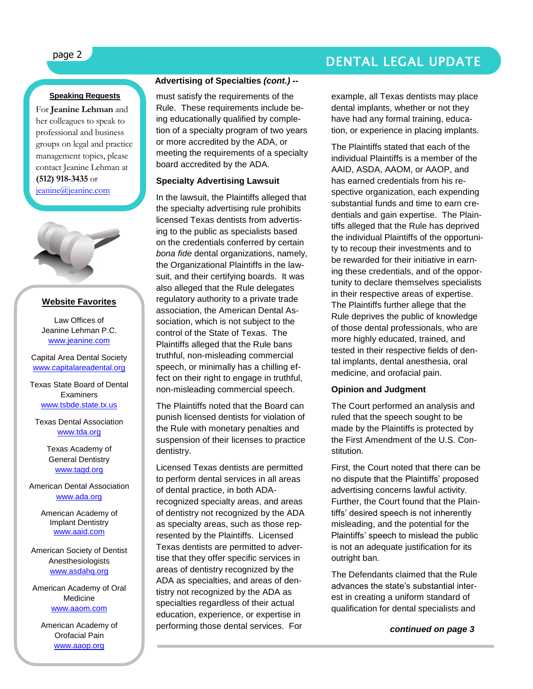## page 2 DENTAL LEGAL UPDATE

#### **Speaking Requests**

For **Jeanine Lehman** and her colleagues to speak to professional and business groups on legal and practice management topics, please contact Jeanine Lehman at **(512) 918-3435** or [jeanine@jeanine.com](mailto:jeanine@jeanine.com)



#### **Website Favorites**

Law Offices of Jeanine Lehman P.C. [www.jeanine.com](http://www.jeanine.com/)

Capital Area Dental Society [www.capitalareadental.org](http://www.capitalareadental.org/)

Texas State Board of Dental **Examiners** [www.tsbde.state.tx.us](http://www.tsbde.state.tx.us/)

Texas Dental Association [www.tda.org](http://www.tda.org/)

> Texas Academy of General Dentistry [www.tagd.org](http://www.tagd.org/)

American Dental Association [www.ada.org](http://www.ada.org/)

> American Academy of Implant Dentistry [www.aaid.com](http://www.aaid.com/)

American Society of Dentist Anesthesiologists [www.asdahq.org](http://www.asdahq.org/)

American Academy of Oral Medicine [www.aaom.com](http://www.aaom.com/)

American Academy of Orofacial Pain [www.aaop.org](http://www.aaop.org/)

#### **Advertising of Specialties** *(cont.) --*

must satisfy the requirements of the Rule. These requirements include being educationally qualified by completion of a specialty program of two years or more accredited by the ADA, or meeting the requirements of a specialty board accredited by the ADA.

#### **Specialty Advertising Lawsuit**

In the lawsuit, the Plaintiffs alleged that the specialty advertising rule prohibits licensed Texas dentists from advertising to the public as specialists based on the credentials conferred by certain *bona fide* dental organizations, namely, the Organizational Plaintiffs in the lawsuit, and their certifying boards. It was also alleged that the Rule delegates regulatory authority to a private trade association, the American Dental Association, which is not subject to the control of the State of Texas. The Plaintiffs alleged that the Rule bans truthful, non-misleading commercial speech, or minimally has a chilling effect on their right to engage in truthful, non-misleading commercial speech.

The Plaintiffs noted that the Board can punish licensed dentists for violation of the Rule with monetary penalties and suspension of their licenses to practice dentistry.

Licensed Texas dentists are permitted to perform dental services in all areas of dental practice, in both ADArecognized specialty areas, and areas of dentistry not recognized by the ADA as specialty areas, such as those represented by the Plaintiffs. Licensed Texas dentists are permitted to advertise that they offer specific services in areas of dentistry recognized by the ADA as specialties, and areas of dentistry not recognized by the ADA as specialties regardless of their actual education, experience, or expertise in performing those dental services. For

example, all Texas dentists may place dental implants, whether or not they have had any formal training, education, or experience in placing implants.

The Plaintiffs stated that each of the individual Plaintiffs is a member of the AAID, ASDA, AAOM, or AAOP, and has earned credentials from his respective organization, each expending substantial funds and time to earn credentials and gain expertise. The Plaintiffs alleged that the Rule has deprived the individual Plaintiffs of the opportunity to recoup their investments and to be rewarded for their initiative in earning these credentials, and of the opportunity to declare themselves specialists in their respective areas of expertise. The Plaintiffs further allege that the Rule deprives the public of knowledge of those dental professionals, who are more highly educated, trained, and tested in their respective fields of dental implants, dental anesthesia, oral medicine, and orofacial pain.

#### **Opinion and Judgment**

The Court performed an analysis and ruled that the speech sought to be made by the Plaintiffs is protected by the First Amendment of the U.S. Constitution.

First, the Court noted that there can be no dispute that the Plaintiffs' proposed advertising concerns lawful activity. Further, the Court found that the Plaintiffs' desired speech is not inherently misleading, and the potential for the Plaintiffs' speech to mislead the public is not an adequate justification for its outright ban.

The Defendants claimed that the Rule advances the state's substantial interest in creating a uniform standard of qualification for dental specialists and

*continued on page 3*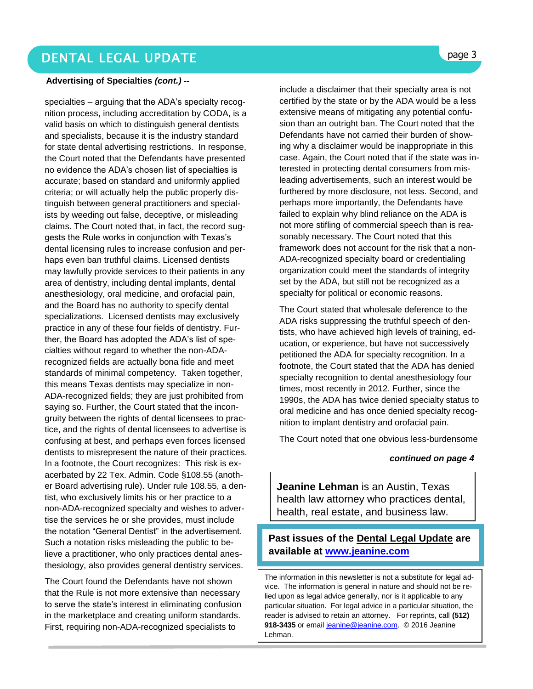### DENTAL LEGAL UPDATE **page 3**

#### **Advertising of Specialties** *(cont.) --*

specialties – arguing that the ADA's specialty recognition process, including accreditation by CODA, is a valid basis on which to distinguish general dentists and specialists, because it is the industry standard for state dental advertising restrictions. In response, the Court noted that the Defendants have presented no evidence the ADA's chosen list of specialties is accurate; based on standard and uniformly applied criteria; or will actually help the public properly distinguish between general practitioners and specialists by weeding out false, deceptive, or misleading claims. The Court noted that, in fact, the record suggests the Rule works in conjunction with Texas's dental licensing rules to increase confusion and perhaps even ban truthful claims. Licensed dentists may lawfully provide services to their patients in any area of dentistry, including dental implants, dental anesthesiology, oral medicine, and orofacial pain, and the Board has no authority to specify dental specializations. Licensed dentists may exclusively practice in any of these four fields of dentistry. Further, the Board has adopted the ADA's list of specialties without regard to whether the non-ADArecognized fields are actually bona fide and meet standards of minimal competency. Taken together, this means Texas dentists may specialize in non-ADA-recognized fields; they are just prohibited from saying so. Further, the Court stated that the incongruity between the rights of dental licensees to practice, and the rights of dental licensees to advertise is confusing at best, and perhaps even forces licensed dentists to misrepresent the nature of their practices. In a footnote, the Court recognizes: This risk is exacerbated by 22 Tex. Admin. Code §108.55 (another Board advertising rule). Under rule 108.55, a dentist, who exclusively limits his or her practice to a non-ADA-recognized specialty and wishes to advertise the services he or she provides, must include the notation "General Dentist" in the advertisement. Such a notation risks misleading the public to believe a practitioner, who only practices dental anesthesiology, also provides general dentistry services.

The Court found the Defendants have not shown that the Rule is not more extensive than necessary to serve the state's interest in eliminating confusion in the marketplace and creating uniform standards. First, requiring non-ADA-recognized specialists to

include a disclaimer that their specialty area is not certified by the state or by the ADA would be a less extensive means of mitigating any potential confusion than an outright ban. The Court noted that the Defendants have not carried their burden of showing why a disclaimer would be inappropriate in this case. Again, the Court noted that if the state was interested in protecting dental consumers from misleading advertisements, such an interest would be furthered by more disclosure, not less. Second, and perhaps more importantly, the Defendants have failed to explain why blind reliance on the ADA is not more stifling of commercial speech than is reasonably necessary. The Court noted that this framework does not account for the risk that a non-ADA-recognized specialty board or credentialing organization could meet the standards of integrity set by the ADA, but still not be recognized as a specialty for political or economic reasons.

The Court stated that wholesale deference to the ADA risks suppressing the truthful speech of dentists, who have achieved high levels of training, education, or experience, but have not successively petitioned the ADA for specialty recognition. In a footnote, the Court stated that the ADA has denied specialty recognition to dental anesthesiology four times, most recently in 2012. Further, since the 1990s, the ADA has twice denied specialty status to oral medicine and has once denied specialty recognition to implant dentistry and orofacial pain.

The Court noted that one obvious less-burdensome

#### *continued on page 4*

**Jeanine Lehman** is an Austin, Texas health law attorney who practices dental, health, real estate, and business law.

### **Past issues of the Dental Legal Update are available at [www.jeanine.com](http://www.jeanine.com/)**

The information in this newsletter is not a substitute for legal advice. The information is general in nature and should not be relied upon as legal advice generally, nor is it applicable to any particular situation. For legal advice in a particular situation, the reader is advised to retain an attorney. For reprints, call **(512)**  918-3435 or email [jeanine@jeanine.com.](mailto:jeanine@jeanine.com) © 2016 Jeanine Lehman.